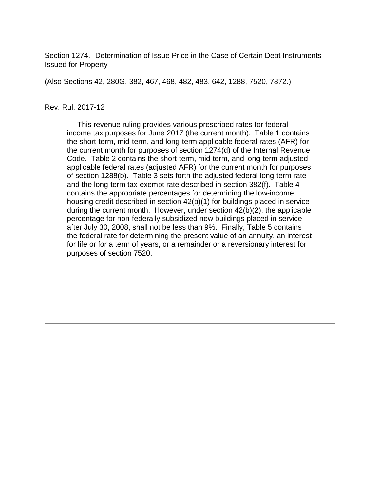Section 1274.--Determination of Issue Price in the Case of Certain Debt Instruments Issued for Property

(Also Sections 42, 280G, 382, 467, 468, 482, 483, 642, 1288, 7520, 7872.)

#### Rev. Rul. 2017-12

 This revenue ruling provides various prescribed rates for federal income tax purposes for June 2017 (the current month). Table 1 contains the short-term, mid-term, and long-term applicable federal rates (AFR) for the current month for purposes of section 1274(d) of the Internal Revenue Code. Table 2 contains the short-term, mid-term, and long-term adjusted applicable federal rates (adjusted AFR) for the current month for purposes of section 1288(b). Table 3 sets forth the adjusted federal long-term rate and the long-term tax-exempt rate described in section 382(f). Table 4 contains the appropriate percentages for determining the low-income housing credit described in section 42(b)(1) for buildings placed in service during the current month. However, under section 42(b)(2), the applicable percentage for non-federally subsidized new buildings placed in service after July 30, 2008, shall not be less than 9%. Finally, Table 5 contains the federal rate for determining the present value of an annuity, an interest for life or for a term of years, or a remainder or a reversionary interest for purposes of section 7520.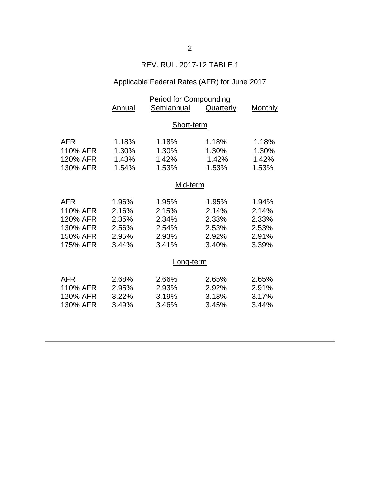## REV. RUL. 2017-12 TABLE 1

# Applicable Federal Rates (AFR) for June 2017

|            | <b>Period for Compounding</b> |            |           |         |  |
|------------|-------------------------------|------------|-----------|---------|--|
|            | <b>Annual</b>                 | Semiannual | Quarterly | Monthly |  |
|            |                               |            |           |         |  |
|            | Short-term                    |            |           |         |  |
|            |                               |            |           |         |  |
| AFR        | 1.18%                         | 1.18%      | 1.18%     | 1.18%   |  |
| 110% AFR   | 1.30%                         | 1.30%      | 1.30%     | 1.30%   |  |
| 120% AFR   | 1.43%                         | 1.42%      | 1.42%     | 1.42%   |  |
| 130% AFR   | 1.54%                         | 1.53%      | 1.53%     | 1.53%   |  |
|            | Mid-term                      |            |           |         |  |
|            |                               |            |           |         |  |
| <b>AFR</b> | 1.96%                         | 1.95%      | 1.95%     | 1.94%   |  |
| 110% AFR   | 2.16%                         | 2.15%      | 2.14%     | 2.14%   |  |
| 120% AFR   | 2.35%                         | 2.34%      | 2.33%     | 2.33%   |  |
| 130% AFR   | 2.56%                         | 2.54%      | 2.53%     | 2.53%   |  |
| 150% AFR   | 2.95%                         | 2.93%      | 2.92%     | 2.91%   |  |
| 175% AFR   | 3.44%                         | 3.41%      | 3.40%     | 3.39%   |  |
|            |                               |            |           |         |  |
|            | Long-term                     |            |           |         |  |
| <b>AFR</b> | 2.68%                         | 2.66%      | 2.65%     | 2.65%   |  |
| 110% AFR   | 2.95%                         | 2.93%      | 2.92%     | 2.91%   |  |
| 120% AFR   | 3.22%                         | 3.19%      | 3.18%     | 3.17%   |  |
|            |                               |            |           |         |  |
| 130% AFR   | 3.49%                         | 3.46%      | 3.45%     | 3.44%   |  |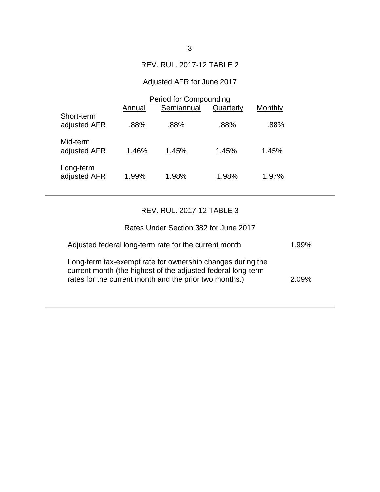### REV. RUL. 2017-12 TABLE 2

# Adjusted AFR for June 2017

|                            | <b>Period for Compounding</b> |            |           |         |  |
|----------------------------|-------------------------------|------------|-----------|---------|--|
|                            | Annual                        | Semiannual | Quarterly | Monthly |  |
| Short-term<br>adjusted AFR | .88%                          | .88%       | .88%      | .88%    |  |
| Mid-term<br>adjusted AFR   | 1.46%                         | 1.45%      | 1.45%     | 1.45%   |  |
| Long-term<br>adjusted AFR  | 1.99%                         | 1.98%      | 1.98%     | 1.97%   |  |

## REV. RUL. 2017-12 TABLE 3

| Rates Under Section 382 for June 2017                                                                                                                                                |          |
|--------------------------------------------------------------------------------------------------------------------------------------------------------------------------------------|----------|
| Adjusted federal long-term rate for the current month                                                                                                                                | $1.99\%$ |
| Long-term tax-exempt rate for ownership changes during the<br>current month (the highest of the adjusted federal long-term<br>rates for the current month and the prior two months.) | 2.09%    |